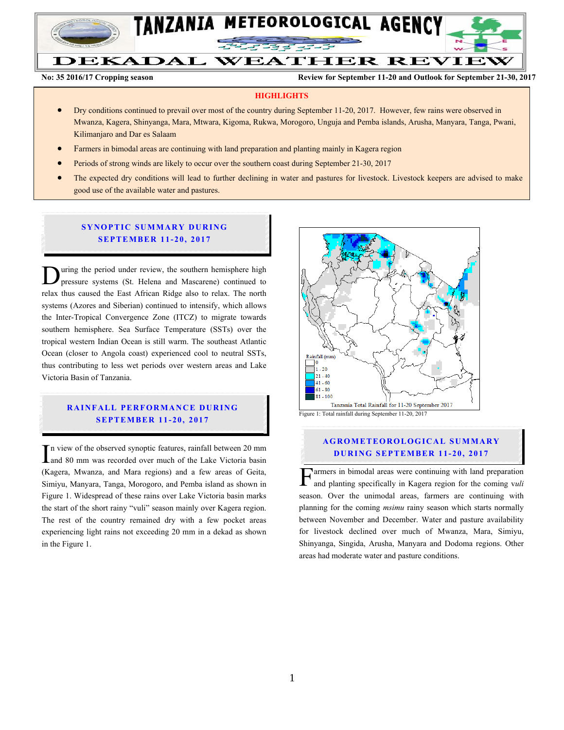

DEKADAL **WEATHER REVIEW** 

TANZANIA METEOROLOGICAL AGENCY

**No: 35 2016/17 Cropping season Review for September 11-20 and Outlook for September 21-30, 2017**

#### **HIGHLIGHTS**

- Dry conditions continued to prevail over most of the country during September 11-20, 2017. However, few rains were observed in Mwanza, Kagera, Shinyanga, Mara, Mtwara, Kigoma, Rukwa, Morogoro, Unguja and Pemba islands, Arusha, Manyara, Tanga, Pwani, Kilimanjaro and Dar es Salaam
- Farmers in bimodal areas are continuing with land preparation and planting mainly in Kagera region
- Periods of strong winds are likely to occur over the southern coast during September 21-30, 2017
- The expected dry conditions will lead to further declining in water and pastures for livestock. Livestock keepers are advised to make good use of the available water and pastures.

# **SYNOPTIC SUMMARY DURING SEPTEMBER 11-20, 2017**

uring the period under review, the southern hemisphere high pressure systems (St. Helena and Mascarene) continued to During the period under review, the southern hemisphere high pressure systems (St. Helena and Mascarene) continued to relax thus caused the East African Ridge also to relax. The north systems (Azores and Siberian) continued to intensify, which allows the Inter-Tropical Convergence Zone (ITCZ) to migrate towards southern hemisphere. Sea Surface Temperature (SSTs) over the tropical western Indian Ocean is still warm. The southeast Atlantic Ocean (closer to Angola coast) experienced cool to neutral SSTs, thus contributing to less wet periods over western areas and Lake Victoria Basin of Tanzania.

## **RAINFALL PERFORMANCE DURING SEPTEMBER 11-20, 2017**

n view of the observed synoptic features, rainfall between 20 mm and 80 mm was recorded over much of the Lake Victoria basin (Kagera, Mwanza, and Mara regions) and a few areas of Geita, Simiyu, Manyara, Tanga, Morogoro, and Pemba island as shown in Figure 1. Widespread of these rains over Lake Victoria basin marks the start of the short rainy "vuli" season mainly over Kagera region. The rest of the country remained dry with a few pocket areas experiencing light rains not exceeding 20 mm in a dekad as shown in the Figure 1.  $\prod_{\in K}$ 



#### **AGROMETEOROLOGICAL SUMMARY DURING SEPTEMBER 11-20, 2017**

armers in bimodal areas were continuing with land preparation and planting specifically in Kagera region for the coming v*uli*   $\Gamma$ armers in bimodal areas were continuing with land preparation<br>and planting specifically in Kagera region for the coming vuli<br>season. Over the unimodal areas, farmers are continuing with planning for the coming *msimu* rainy season which starts normally between November and December. Water and pasture availability for livestock declined over much of Mwanza, Mara, Simiyu, Shinyanga, Singida, Arusha, Manyara and Dodoma regions. Other areas had moderate water and pasture conditions.